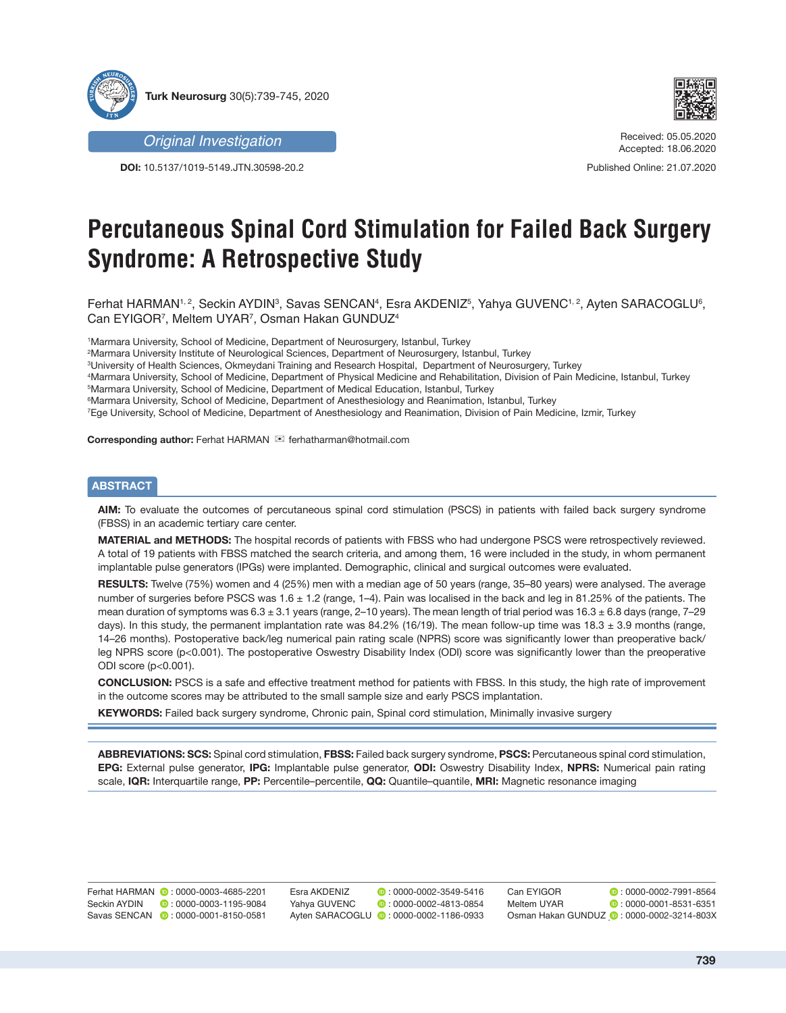

*Original Investigation*

**DOI:** 10.5137/1019-5149.JTN.30598-20.2



Received: 05.05.2020 Accepted: 18.06.2020

Published Online: 21.07.2020

# **Percutaneous Spinal Cord Stimulation for Failed Back Surgery Syndrome: A Retrospective Study**

Ferhat HARMAN¼º, Seckin AYDINª, Savas SENCANº, Esra AKDENIZº, Yahya GUVENC¼º, Ayten SARACOGLUº, Can EYIGOR7 , Meltem UYAR7 , Osman Hakan GUNDUZ4

1 Marmara University, School of Medicine, Department of Neurosurgery, Istanbul, Turkey

2 Marmara University Institute of Neurological Sciences, Department of Neurosurgery, Istanbul, Turkey

3 University of Health Sciences, Okmeydani Training and Research Hospital, Department of Neurosurgery, Turkey

4 Marmara University, School of Medicine, Department of Physical Medicine and Rehabilitation, Division of Pain Medicine, Istanbul, Turkey

5 Marmara University, School of Medicine, Department of Medical Education, Istanbul, Turkey

6 Marmara University, School of Medicine, Department of Anesthesiology and Reanimation, Istanbul, Turkey

7 Ege University, School of Medicine, Department of Anesthesiology and Reanimation, Division of Pain Medicine, Izmir, Turkey

Corresponding author: Ferhat HARMAN <sup>im</sup> ferhatharman@hotmail.com

## **ABSTRACT**

**AIM:** To evaluate the outcomes of percutaneous spinal cord stimulation (PSCS) in patients with failed back surgery syndrome (FBSS) in an academic tertiary care center.

**MATERIAL and METHODS:** The hospital records of patients with FBSS who had undergone PSCS were retrospectively reviewed. A total of 19 patients with FBSS matched the search criteria, and among them, 16 were included in the study, in whom permanent implantable pulse generators (IPGs) were implanted. Demographic, clinical and surgical outcomes were evaluated.

**RESULTS:** Twelve (75%) women and 4 (25%) men with a median age of 50 years (range, 35–80 years) were analysed. The average number of surgeries before PSCS was  $1.6 \pm 1.2$  (range,  $1-4$ ). Pain was localised in the back and leg in 81.25% of the patients. The mean duration of symptoms was  $6.3 \pm 3.1$  years (range, 2-10 years). The mean length of trial period was  $16.3 \pm 6.8$  days (range, 7-29 days). In this study, the permanent implantation rate was 84.2% (16/19). The mean follow-up time was 18.3  $\pm$  3.9 months (range, 14–26 months). Postoperative back/leg numerical pain rating scale (NPRS) score was significantly lower than preoperative back/ leg NPRS score (p<0.001). The postoperative Oswestry Disability Index (ODI) score was significantly lower than the preoperative ODI score (p<0.001).

**CONCLUSION:** PSCS is a safe and effective treatment method for patients with FBSS. In this study, the high rate of improvement in the outcome scores may be attributed to the small sample size and early PSCS implantation.

**KEYWORDS:** Failed back surgery syndrome, Chronic pain, Spinal cord stimulation, Minimally invasive surgery

**ABBREVIATIONS: SCS:** Spinal cord stimulation, **FBSS:** Failed back surgery syndrome, **PSCS:** Percutaneous spinal cord stimulation, **EPG:** External pulse generator, **IPG:** Implantable pulse generator, **ODI:** Oswestry Disability Index, **NPRS:** Numerical pain rating scale, **IQR:** Interquartile range, **PP:** Percentile–percentile, **QQ:** Quantile–quantile, **MRI:** Magnetic resonance imaging

Ferhat HARMAN **0**: 0000-0003-4685-2201 Seckin AYDIN **:** 0000-0003-1195-9084 Savas SENCAN  $\bullet$ : 0000-0001-8150-0581 Esra AKDENIZ **: 0000-0002-3549-5416** YahyaGUVENC **: 0000-0002-4813-0854** AytenSARACOGLU **:** 0000-0002-1186-0933 Can EYIGOR **:** 0000-0002-7991-8564 Meltem UYAR **6**: 0000-0001-8531-6351 Osman Hakan GUNDUZ **: 0000-0002-3214-803X**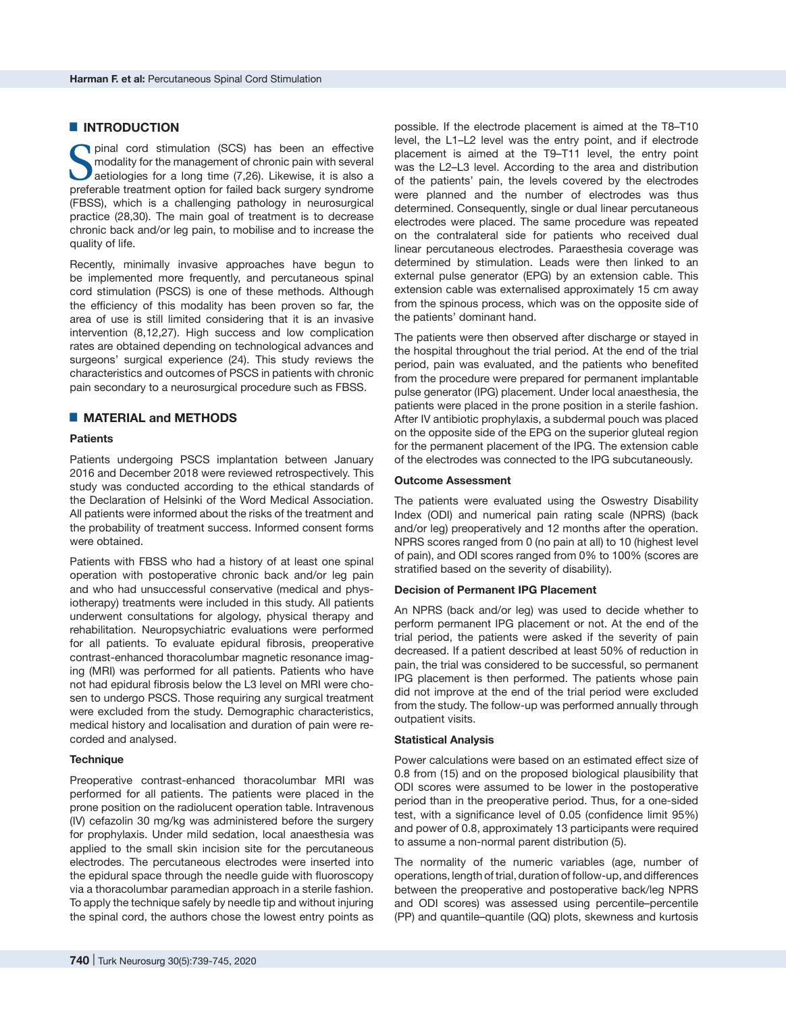## █ **INTRODUCTION**

Spinal cord stimulation (SCS) has been an effective<br>modality for the management of chronic pain with several<br>aetiologies for a long time (7,26). Likewise, it is also a<br>preferable treatment option for failed back surgery sy modality for the management of chronic pain with several aetiologies for a long time (7,26). Likewise, it is also a preferable treatment option for failed back surgery syndrome (FBSS), which is a challenging pathology in neurosurgical practice (28,30). The main goal of treatment is to decrease chronic back and/or leg pain, to mobilise and to increase the quality of life.

Recently, minimally invasive approaches have begun to be implemented more frequently, and percutaneous spinal cord stimulation (PSCS) is one of these methods. Although the efficiency of this modality has been proven so far, the area of use is still limited considering that it is an invasive intervention (8,12,27). High success and low complication rates are obtained depending on technological advances and surgeons' surgical experience (24). This study reviews the characteristics and outcomes of PSCS in patients with chronic pain secondary to a neurosurgical procedure such as FBSS.

## █ **MATERIAL and METHODS**

## **Patients**

Patients undergoing PSCS implantation between January 2016 and December 2018 were reviewed retrospectively. This study was conducted according to the ethical standards of the Declaration of Helsinki of the Word Medical Association. All patients were informed about the risks of the treatment and the probability of treatment success. Informed consent forms were obtained.

Patients with FBSS who had a history of at least one spinal operation with postoperative chronic back and/or leg pain and who had unsuccessful conservative (medical and physiotherapy) treatments were included in this study. All patients underwent consultations for algology, physical therapy and rehabilitation. Neuropsychiatric evaluations were performed for all patients. To evaluate epidural fibrosis, preoperative contrast-enhanced thoracolumbar magnetic resonance imaging (MRI) was performed for all patients. Patients who have not had epidural fibrosis below the L3 level on MRI were chosen to undergo PSCS. Those requiring any surgical treatment were excluded from the study. Demographic characteristics, medical history and localisation and duration of pain were recorded and analysed.

#### **Technique**

Preoperative contrast-enhanced thoracolumbar MRI was performed for all patients. The patients were placed in the prone position on the radiolucent operation table. Intravenous (IV) cefazolin 30 mg/kg was administered before the surgery for prophylaxis. Under mild sedation, local anaesthesia was applied to the small skin incision site for the percutaneous electrodes. The percutaneous electrodes were inserted into the epidural space through the needle guide with fluoroscopy via a thoracolumbar paramedian approach in a sterile fashion. To apply the technique safely by needle tip and without injuring the spinal cord, the authors chose the lowest entry points as

possible. If the electrode placement is aimed at the T8–T10 level, the L1–L2 level was the entry point, and if electrode placement is aimed at the T9–T11 level, the entry point was the L2–L3 level. According to the area and distribution of the patients' pain, the levels covered by the electrodes were planned and the number of electrodes was thus determined. Consequently, single or dual linear percutaneous electrodes were placed. The same procedure was repeated on the contralateral side for patients who received dual linear percutaneous electrodes. Paraesthesia coverage was determined by stimulation. Leads were then linked to an external pulse generator (EPG) by an extension cable. This extension cable was externalised approximately 15 cm away from the spinous process, which was on the opposite side of the patients' dominant hand.

The patients were then observed after discharge or stayed in the hospital throughout the trial period. At the end of the trial period, pain was evaluated, and the patients who benefited from the procedure were prepared for permanent implantable pulse generator (IPG) placement. Under local anaesthesia, the patients were placed in the prone position in a sterile fashion. After IV antibiotic prophylaxis, a subdermal pouch was placed on the opposite side of the EPG on the superior gluteal region for the permanent placement of the IPG. The extension cable of the electrodes was connected to the IPG subcutaneously.

## **Outcome Assessment**

The patients were evaluated using the Oswestry Disability Index (ODI) and numerical pain rating scale (NPRS) (back and/or leg) preoperatively and 12 months after the operation. NPRS scores ranged from 0 (no pain at all) to 10 (highest level of pain), and ODI scores ranged from 0% to 100% (scores are stratified based on the severity of disability).

#### **Decision of Permanent IPG Placement**

An NPRS (back and/or leg) was used to decide whether to perform permanent IPG placement or not. At the end of the trial period, the patients were asked if the severity of pain decreased. If a patient described at least 50% of reduction in pain, the trial was considered to be successful, so permanent IPG placement is then performed. The patients whose pain did not improve at the end of the trial period were excluded from the study. The follow-up was performed annually through outpatient visits.

#### **Statistical Analysis**

Power calculations were based on an estimated effect size of 0.8 from (15) and on the proposed biological plausibility that ODI scores were assumed to be lower in the postoperative period than in the preoperative period. Thus, for a one-sided test, with a significance level of 0.05 (confidence limit 95%) and power of 0.8, approximately 13 participants were required to assume a non-normal parent distribution (5).

The normality of the numeric variables (age, number of operations, length of trial, duration of follow-up, and differences between the preoperative and postoperative back/leg NPRS and ODI scores) was assessed using percentile–percentile (PP) and quantile–quantile (QQ) plots, skewness and kurtosis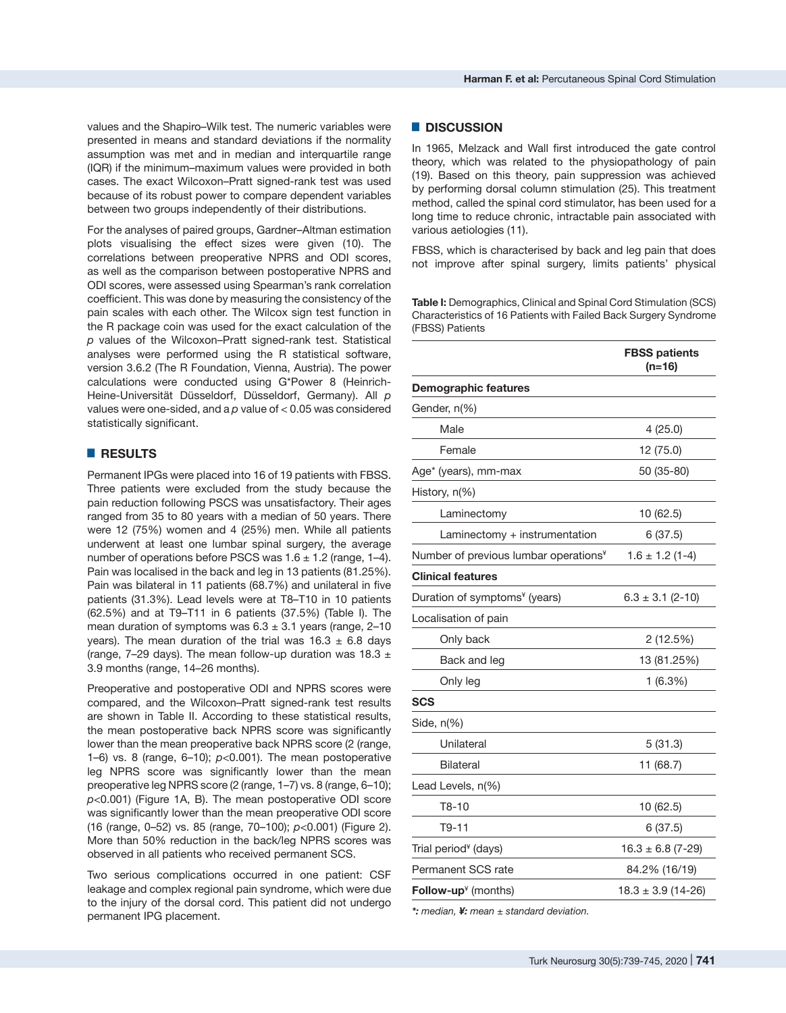values and the Shapiro–Wilk test. The numeric variables were presented in means and standard deviations if the normality assumption was met and in median and interquartile range (IQR) if the minimum–maximum values were provided in both cases. The exact Wilcoxon–Pratt signed-rank test was used because of its robust power to compare dependent variables between two groups independently of their distributions.

For the analyses of paired groups, Gardner–Altman estimation plots visualising the effect sizes were given (10). The correlations between preoperative NPRS and ODI scores, as well as the comparison between postoperative NPRS and ODI scores, were assessed using Spearman's rank correlation coefficient. This was done by measuring the consistency of the pain scales with each other. The Wilcox sign test function in the R package [coin](https://cran.r-project.org/package=coin) was used for the exact calculation of the *p* values of the Wilcoxon–Pratt signed-rank test. Statistical analyses were performed using the R statistical software, version 3.6.2 (The R Foundation, Vienna, Austria). The power calculations were conducted using G\*Power 8 (Heinrich-Heine-Universität Düsseldorf, Düsseldorf, Germany). All *p* values were one-sided, and a *p* value of < 0.05 was considered statistically significant.

# █ **RESULTS**

Permanent IPGs were placed into 16 of 19 patients with FBSS. Three patients were excluded from the study because the pain reduction following PSCS was unsatisfactory. Their ages ranged from 35 to 80 years with a median of 50 years. There were 12 (75%) women and 4 (25%) men. While all patients underwent at least one lumbar spinal surgery, the average number of operations before PSCS was  $1.6 \pm 1.2$  (range,  $1-4$ ). Pain was localised in the back and leg in 13 patients (81.25%). Pain was bilateral in 11 patients (68.7%) and unilateral in five patients (31.3%). Lead levels were at T8–T10 in 10 patients (62.5%) and at T9–T11 in 6 patients (37.5%) (Table I). The mean duration of symptoms was  $6.3 \pm 3.1$  years (range, 2-10 years). The mean duration of the trial was  $16.3 \pm 6.8$  days (range, 7–29 days). The mean follow-up duration was 18.3  $\pm$ 3.9 months (range, 14–26 months).

Preoperative and postoperative ODI and NPRS scores were compared, and the Wilcoxon–Pratt signed-rank test results are shown in Table II. According to these statistical results, the mean postoperative back NPRS score was significantly lower than the mean preoperative back NPRS score (2 (range, 1–6) vs. 8 (range,  $6-10$ );  $p<0.001$ ). The mean postoperative leg NPRS score was significantly lower than the mean preoperative leg NPRS score (2 (range, 1–7) vs. 8 (range, 6–10); *p*<0.001) (Figure 1A, B). The mean postoperative ODI score was significantly lower than the mean preoperative ODI score (16 (range, 0–52) vs. 85 (range, 70–100); *p*<0.001) (Figure 2). More than 50% reduction in the back/leg NPRS scores was observed in all patients who received permanent SCS.

Two serious complications occurred in one patient: CSF leakage and complex regional pain syndrome, which were due to the injury of the dorsal cord. This patient did not undergo permanent IPG placement.

## █ **DISCUSSION**

In 1965, Melzack and Wall first introduced the gate control theory, which was related to the physiopathology of pain (19). Based on this theory, pain suppression was achieved by performing dorsal column stimulation (25). This treatment method, called the spinal cord stimulator, has been used for a long time to reduce chronic, intractable pain associated with various aetiologies (11).

FBSS, which is characterised by back and leg pain that does not improve after spinal surgery, limits patients' physical

**Table I:** Demographics, Clinical and Spinal Cord Stimulation (SCS) Characteristics of 16 Patients with Failed Back Surgery Syndrome (FBSS) Patients

|                                                   | <b>FBSS patients</b><br>$(n=16)$ |  |
|---------------------------------------------------|----------------------------------|--|
| <b>Demographic features</b>                       |                                  |  |
| Gender, n(%)                                      |                                  |  |
| Male                                              | 4(25.0)                          |  |
| Female                                            | 12 (75.0)                        |  |
| Age* (years), mm-max                              | 50 (35-80)                       |  |
| History, n(%)                                     |                                  |  |
| Laminectomy                                       | 10 (62.5)                        |  |
| Laminectomy + instrumentation                     | 6 (37.5)                         |  |
| Number of previous lumbar operations <sup>¥</sup> | $1.6 \pm 1.2$ (1-4)              |  |
| <b>Clinical features</b>                          |                                  |  |
| Duration of symptoms <sup>¥</sup> (years)         | $6.3 \pm 3.1$ (2-10)             |  |
| Localisation of pain                              |                                  |  |
| Only back                                         | 2 (12.5%)                        |  |
| Back and leg                                      | 13 (81.25%)                      |  |
| Only leg                                          | 1(6.3%)                          |  |
| <b>SCS</b>                                        |                                  |  |
| Side, n(%)                                        |                                  |  |
| Unilateral                                        | 5(31.3)                          |  |
| <b>Bilateral</b>                                  | 11 (68.7)                        |  |
| Lead Levels, n(%)                                 |                                  |  |
| $T8-10$                                           | 10 (62.5)                        |  |
| T9-11                                             | 6(37.5)                          |  |
| Trial period <sup>¥</sup> (days)                  | $16.3 \pm 6.8$ (7-29)            |  |
| Permanent SCS rate                                | 84.2% (16/19)                    |  |
| Follow-up $*$ (months)                            | $18.3 \pm 3.9$ (14-26)           |  |
|                                                   |                                  |  |

*\*: median, ¥: mean ± standard deviation.*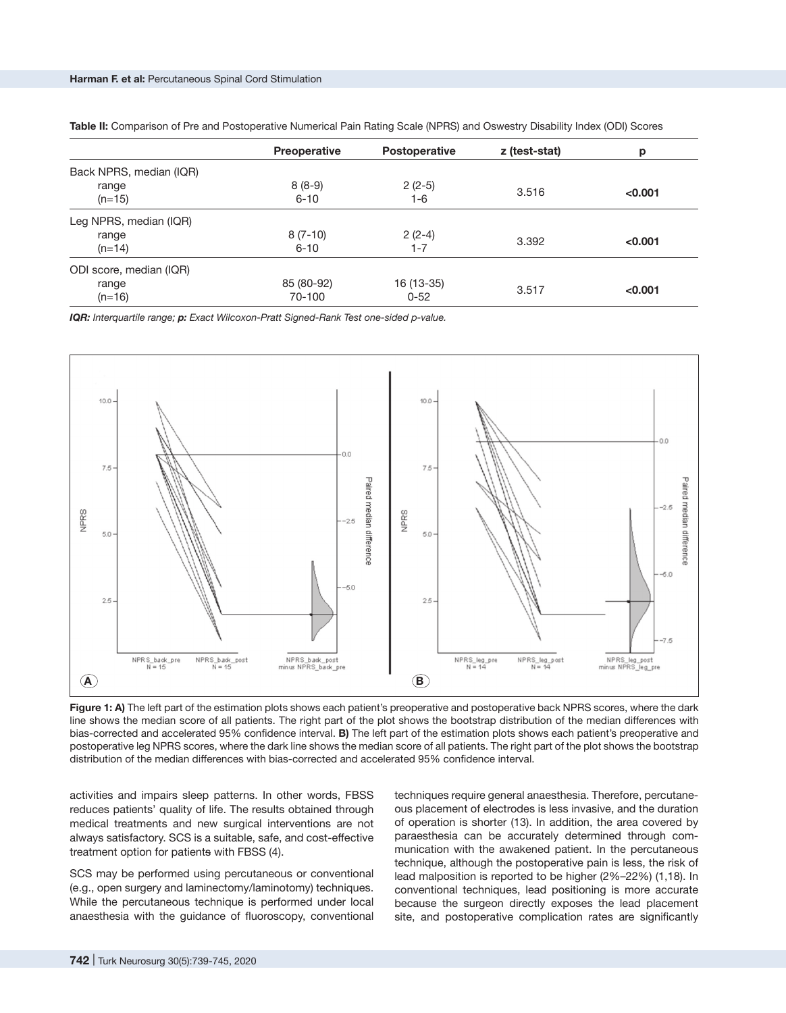|                         | <b>Preoperative</b> | <b>Postoperative</b> | z (test-stat) | р       |
|-------------------------|---------------------|----------------------|---------------|---------|
| Back NPRS, median (IQR) |                     |                      |               |         |
| range                   | $8(8-9)$            | $2(2-5)$             | 3.516         |         |
| $(n=15)$                | $6 - 10$            | 1-6                  |               | < 0.001 |
| Leg NPRS, median (IQR)  |                     |                      |               |         |
| range                   | $8(7-10)$           | $2(2-4)$             | 3.392         |         |
| $(n=14)$                | $6 - 10$            | $1 - 7$              |               | < 0.001 |
| ODI score, median (IQR) |                     |                      |               |         |
| range                   | 85 (80-92)          | 16 (13-35)           | 3.517         |         |
| $(n=16)$                | 70-100              | $0 - 52$             |               | < 0.001 |

**Table II:** Comparison of Pre and Postoperative Numerical Pain Rating Scale (NPRS) and Oswestry Disability Index (ODI) Scores

*IQR: Interquartile range; p: Exact Wilcoxon-Pratt Signed-Rank Test one-sided p-value.*



Figure 1: A) The left part of the estimation plots shows each patient's preoperative and postoperative back NPRS scores, where the dark line shows the median score of all patients. The right part of the plot shows the bootstrap distribution of the median differences with bias-corrected and accelerated 95% confidence interval. **B)** The left part of the estimation plots shows each patient's preoperative and postoperative leg NPRS scores, where the dark line shows the median score of all patients. The right part of the plot shows the bootstrap distribution of the median differences with bias-corrected and accelerated 95% confidence interval.

activities and impairs sleep patterns. In other words, FBSS reduces patients' quality of life. The results obtained through medical treatments and new surgical interventions are not always satisfactory. SCS is a suitable, safe, and cost-effective treatment option for patients with FBSS (4).

SCS may be performed using percutaneous or conventional (e.g., open surgery and laminectomy/laminotomy) techniques. While the percutaneous technique is performed under local anaesthesia with the guidance of fluoroscopy, conventional techniques require general anaesthesia. Therefore, percutaneous placement of electrodes is less invasive, and the duration of operation is shorter (13). In addition, the area covered by paraesthesia can be accurately determined through communication with the awakened patient. In the percutaneous technique, although the postoperative pain is less, the risk of lead malposition is reported to be higher (2%–22%) (1,18). In conventional techniques, lead positioning is more accurate because the surgeon directly exposes the lead placement site, and postoperative complication rates are significantly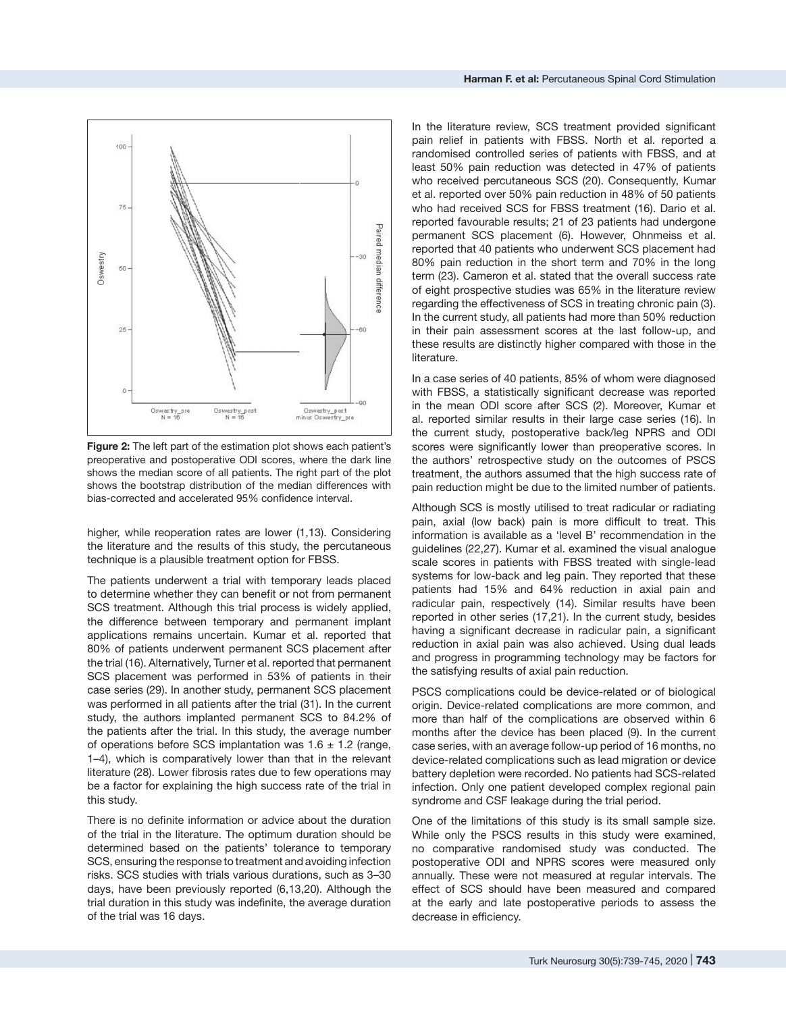

**Figure 2:** The left part of the estimation plot shows each patient's preoperative and postoperative ODI scores, where the dark line shows the median score of all patients. The right part of the plot shows the bootstrap distribution of the median differences with bias-corrected and accelerated 95% confidence interval.

higher, while reoperation rates are lower (1,13). Considering the literature and the results of this study, the percutaneous technique is a plausible treatment option for FBSS.

The patients underwent a trial with temporary leads placed to determine whether they can benefit or not from permanent SCS treatment. Although this trial process is widely applied, the difference between temporary and permanent implant applications remains uncertain. Kumar et al. reported that 80% of patients underwent permanent SCS placement after the trial (16). Alternatively, Turner et al. reported that permanent SCS placement was performed in 53% of patients in their case series (29). In another study, permanent SCS placement was performed in all patients after the trial (31). In the current study, the authors implanted permanent SCS to 84.2% of the patients after the trial. In this study, the average number of operations before SCS implantation was  $1.6 \pm 1.2$  (range, 1–4), which is comparatively lower than that in the relevant literature (28). Lower fibrosis rates due to few operations may be a factor for explaining the high success rate of the trial in this study.

There is no definite information or advice about the duration of the trial in the literature. The optimum duration should be determined based on the patients' tolerance to temporary SCS, ensuring the response to treatment and avoiding infection risks. SCS studies with trials various durations, such as 3–30 days, have been previously reported (6,13,20). Although the trial duration in this study was indefinite, the average duration of the trial was 16 days.

In the literature review, SCS treatment provided significant pain relief in patients with FBSS. North et al. reported a randomised controlled series of patients with FBSS, and at least 50% pain reduction was detected in 47% of patients who received percutaneous SCS (20). Consequently, Kumar et al. reported over 50% pain reduction in 48% of 50 patients who had received SCS for FBSS treatment (16). Dario et al. reported favourable results; 21 of 23 patients had undergone permanent SCS placement (6). However, Ohnmeiss et al. reported that 40 patients who underwent SCS placement had 80% pain reduction in the short term and 70% in the long term (23). Cameron et al. stated that the overall success rate of eight prospective studies was 65% in the literature review regarding the effectiveness of SCS in treating chronic pain (3). In the current study, all patients had more than 50% reduction in their pain assessment scores at the last follow-up, and these results are distinctly higher compared with those in the literature.

In a case series of 40 patients, 85% of whom were diagnosed with FBSS, a statistically significant decrease was reported in the mean ODI score after SCS (2). Moreover, Kumar et al. reported similar results in their large case series (16). In the current study, postoperative back/leg NPRS and ODI scores were significantly lower than preoperative scores. In the authors' retrospective study on the outcomes of PSCS treatment, the authors assumed that the high success rate of pain reduction might be due to the limited number of patients.

Although SCS is mostly utilised to treat radicular or radiating pain, axial (low back) pain is more difficult to treat. This information is available as a 'level B' recommendation in the guidelines (22,27). Kumar et al. examined the visual analogue scale scores in patients with FBSS treated with single-lead systems for low-back and leg pain. They reported that these patients had 15% and 64% reduction in axial pain and radicular pain, respectively (14). Similar results have been reported in other series (17,21). In the current study, besides having a significant decrease in radicular pain, a significant reduction in axial pain was also achieved. Using dual leads and progress in programming technology may be factors for the satisfying results of axial pain reduction.

PSCS complications could be device-related or of biological origin. Device-related complications are more common, and more than half of the complications are observed within 6 months after the device has been placed (9). In the current case series, with an average follow-up period of 16 months, no device-related complications such as lead migration or device battery depletion were recorded. No patients had SCS-related infection. Only one patient developed complex regional pain syndrome and CSF leakage during the trial period.

One of the limitations of this study is its small sample size. While only the PSCS results in this study were examined, no comparative randomised study was conducted. The postoperative ODI and NPRS scores were measured only annually. These were not measured at regular intervals. The effect of SCS should have been measured and compared at the early and late postoperative periods to assess the decrease in efficiency.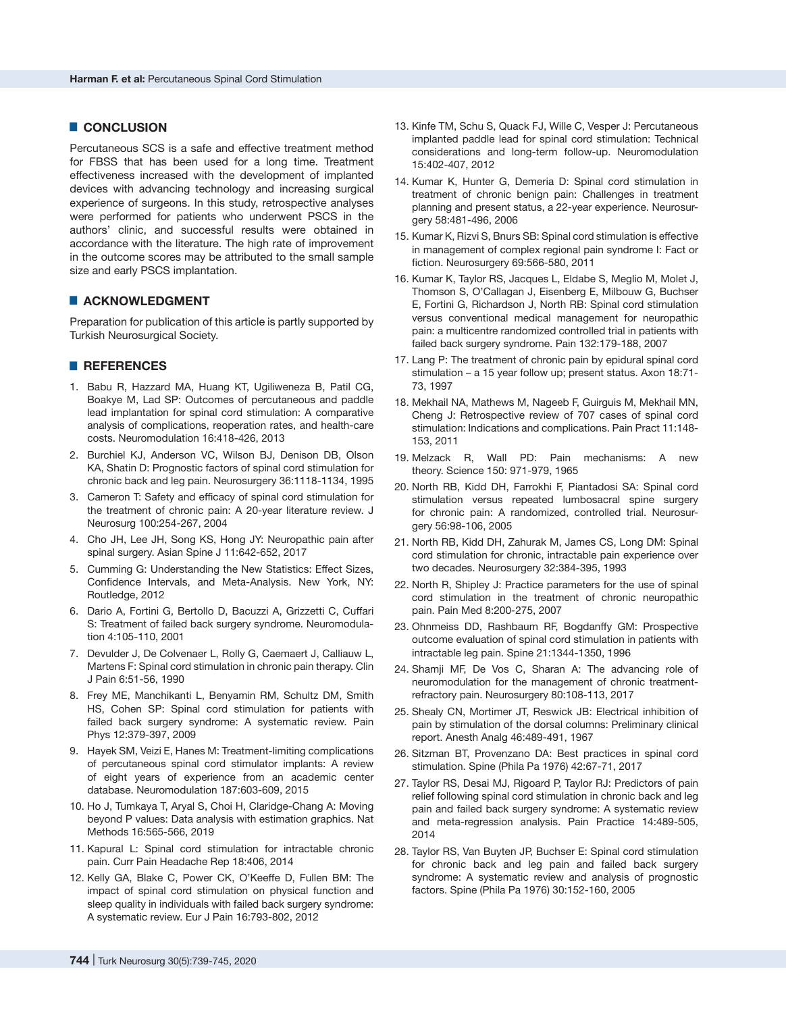## █ **CONCLUSION**

Percutaneous SCS is a safe and effective treatment method for FBSS that has been used for a long time. Treatment effectiveness increased with the development of implanted devices with advancing technology and increasing surgical experience of surgeons. In this study, retrospective analyses were performed for patients who underwent PSCS in the authors' clinic, and successful results were obtained in accordance with the literature. The high rate of improvement in the outcome scores may be attributed to the small sample size and early PSCS implantation.

# ■ **ACKNOWLEDGMENT**

Preparation for publication of this article is partly supported by Turkish Neurosurgical Society.

# █ **REFERENCES**

- 1. Babu R, Hazzard MA, Huang KT, Ugiliweneza B, Patil CG, Boakye M, Lad SP: Outcomes of percutaneous and paddle lead implantation for spinal cord stimulation: A comparative analysis of complications, reoperation rates, and health-care costs. Neuromodulation 16:418-426, 2013
- 2. Burchiel KJ, Anderson VC, Wilson BJ, Denison DB, Olson KA, Shatin D: Prognostic factors of spinal cord stimulation for chronic back and leg pain. Neurosurgery 36:1118-1134, 1995
- 3. Cameron T: Safety and efficacy of spinal cord stimulation for the treatment of chronic pain: A 20‐year literature review. J Neurosurg 100:254‐267, 2004
- 4. Cho JH, Lee JH, Song KS, Hong JY: Neuropathic pain after spinal surgery. Asian Spine J 11:642-652, 2017
- 5. Cumming G: Understanding the New Statistics: Effect Sizes, Confidence Intervals, and Meta-Analysis. New York, NY: Routledge, 2012
- 6. Dario A, Fortini G, Bertollo D, Bacuzzi A, Grizzetti C, Cuffari S: Treatment of failed back surgery syndrome. Neuromodulation 4:105-110, 2001
- 7. Devulder J, De Colvenaer L, Rolly G, Caemaert J, Calliauw L, Martens F: Spinal cord stimulation in chronic pain therapy. Clin J Pain 6:51-56, 1990
- 8. Frey ME, Manchikanti L, Benyamin RM, Schultz DM, Smith HS, Cohen SP: Spinal cord stimulation for patients with failed back surgery syndrome: A systematic review. Pain Phys 12:379-397, 2009
- 9. Hayek SM, Veizi E, Hanes M: Treatment-limiting complications of percutaneous spinal cord stimulator implants: A review of eight years of experience from an academic center database. Neuromodulation 187:603-609, 2015
- 10. Ho J, Tumkaya T, Aryal S, Choi H, Claridge-Chang A: Moving beyond P values: Data analysis with estimation graphics. Nat Methods 16:565-566, 2019
- 11. Kapural L: Spinal cord stimulation for intractable chronic pain. Curr Pain Headache Rep 18:406, 2014
- 12. Kelly GA, Blake C, Power CK, O'Keeffe D, Fullen BM: The impact of spinal cord stimulation on physical function and sleep quality in individuals with failed back surgery syndrome: A systematic review. Eur J Pain 16:793-802, 2012
- 13. Kinfe TM, Schu S, Quack FJ, Wille C, Vesper J: Percutaneous implanted paddle lead for spinal cord stimulation: Technical considerations and long‐term follow‐up. Neuromodulation 15:402-407, 2012
- 14. Kumar K, Hunter G, Demeria D: Spinal cord stimulation in treatment of chronic benign pain: Challenges in treatment planning and present status, a 22‐year experience. Neurosurgery 58:481‐496, 2006
- 15. Kumar K, Rizvi S, Bnurs SB: Spinal cord stimulation is effective in management of complex regional pain syndrome I: Fact or fiction. Neurosurgery 69:566-580, 2011
- 16. Kumar K, Taylor RS, Jacques L, Eldabe S, Meglio M, Molet J, Thomson S, O'Callagan J, Eisenberg E, Milbouw G, Buchser E, Fortini G, Richardson J, North RB: Spinal cord stimulation versus conventional medical management for neuropathic pain: a multicentre randomized controlled trial in patients with failed back surgery syndrome. Pain 132:179‐188, 2007
- 17. Lang P: The treatment of chronic pain by epidural spinal cord stimulation – a 15 year follow up; present status. Axon 18:71- 73, 1997
- 18. Mekhail NA, Mathews M, Nageeb F, Guirguis M, Mekhail MN, Cheng J: Retrospective review of 707 cases of spinal cord stimulation: Indications and complications. Pain Pract 11:148- 153, 2011
- 19. Melzack R, Wall PD: Pain mechanisms: A new theory. Science 150: 971-979, 1965
- 20. North RB, Kidd DH, Farrokhi F, Piantadosi SA: Spinal cord stimulation versus repeated lumbosacral spine surgery for chronic pain: A randomized, controlled trial. Neurosurgery 56:98-106, 2005
- 21. North RB, Kidd DH, Zahurak M, James CS, Long DM: Spinal cord stimulation for chronic, intractable pain experience over two decades. Neurosurgery 32:384-395, 1993
- 22. North R, Shipley J: Practice parameters for the use of spinal cord stimulation in the treatment of chronic neuropathic pain. Pain Med 8:200-275, 2007
- 23. Ohnmeiss DD, Rashbaum RF, Bogdanffy GM: Prospective outcome evaluation of spinal cord stimulation in patients with intractable leg pain. Spine 21:1344‐1350, 1996
- 24. Shamji MF, De Vos C, Sharan A: The advancing role of neuromodulation for the management of chronic treatmentrefractory pain. Neurosurgery 80:108-113, 2017
- 25. Shealy CN, Mortimer JT, Reswick JB: Electrical inhibition of pain by stimulation of the dorsal columns: Preliminary clinical report. Anesth Analg 46:489-491, 1967
- 26. Sitzman BT, Provenzano DA: Best practices in spinal cord stimulation. Spine (Phila Pa 1976) 42:67-71, 2017
- 27. Taylor RS, Desai MJ, Rigoard P, Taylor RJ: Predictors of pain relief following spinal cord stimulation in chronic back and leg pain and failed back surgery syndrome: A systematic review and meta-regression analysis. Pain Practice 14:489-505, 2014
- 28. Taylor RS, Van Buyten JP, Buchser E: Spinal cord stimulation for chronic back and leg pain and failed back surgery syndrome: A systematic review and analysis of prognostic factors. Spine (Phila Pa 1976) 30:152-160, 2005